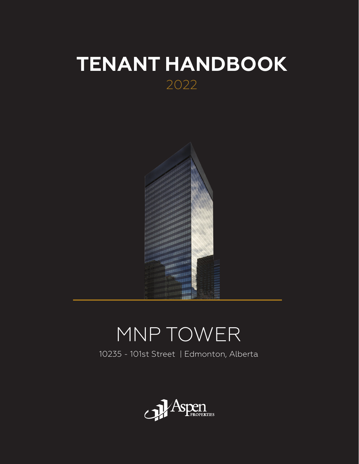## **TENANT HANDBOOK** 2022



# MNP TOWER

10235 - 101st Street | Edmonton, Alberta

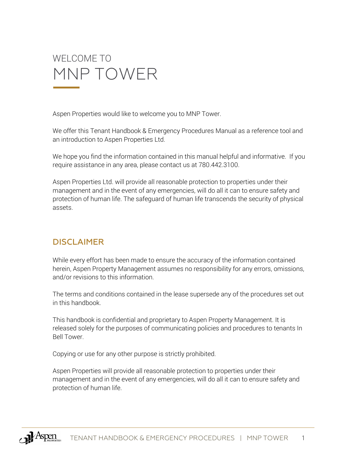

Aspen Properties would like to welcome you to MNP Tower.

We offer this Tenant Handbook & Emergency Procedures Manual as a reference tool and an introduction to Aspen Properties Ltd.

We hope you find the information contained in this manual helpful and informative. If you require assistance in any area, please contact us at 780.442.3100.

Aspen Properties Ltd. will provide all reasonable protection to properties under their management and in the event of any emergencies, will do all it can to ensure safety and protection of human life. The safeguard of human life transcends the security of physical assets.

### DISCLAIMER

While every effort has been made to ensure the accuracy of the information contained herein, Aspen Property Management assumes no responsibility for any errors, omissions, and/or revisions to this information.

The terms and conditions contained in the lease supersede any of the procedures set out in this handbook.

This handbook is confidential and proprietary to Aspen Property Management. It is released solely for the purposes of communicating policies and procedures to tenants In Bell Tower.

Copying or use for any other purpose is strictly prohibited.

Aspen Properties will provide all reasonable protection to properties under their management and in the event of any emergencies, will do all it can to ensure safety and protection of human life.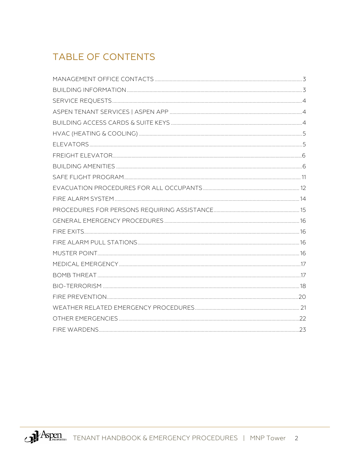## **TABLE OF CONTENTS**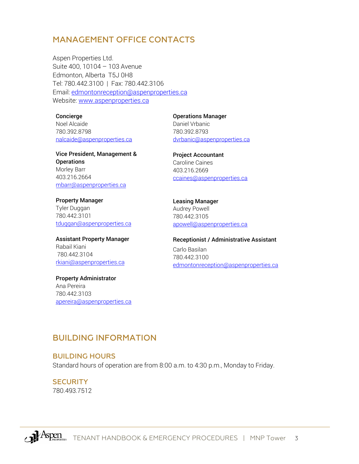### <span id="page-3-0"></span>MANAGEMENT OFFICE CONTACTS

Aspen Properties Ltd. Suite 400, 10104 – 103 Avenue Edmonton, Alberta T5J 0H8 Tel: 780.442.3100 | Fax: 780.442.3106 Email: [edmontonreception@aspenproperties.ca](mailto:edmontonreception@aspenproperties.ca) Website: [www.aspenproperties.ca](http://www.aspenproperties.ca/)

#### Concierge

Noel Alcaide 780.392.8798 [nalcaide@aspenproperties.ca](mailto:nalcaide@aspenproperties.ca)

Vice President, Management & **Operations** Morley Barr 403.216.2664 [mbarr@aspenproperties.ca](mailto:mbarr@aspenproperties.ca)

Property Manager Tyler Duggan 780.442.3101 [tduggan@aspenproperties.ca](mailto:tduggan@aspenproperties.ca)

#### Assistant Property Manager Rabail Kiani 780.442.3104 rkiani[@aspenproperties.ca](mailto:edalgleish@aspenproperties.ca)

Property Administrator Ana Pereira 780.442.3103 [apereira@aspenproperties.ca](mailto:apereira@aspenproperties.ca) Operations Manager Daniel Vrbanic 780.392.8793 [dvrbanic@aspenproperties.ca](mailto:dvrbanic@aspenproperties.ca)

Project Accountant Caroline Caines 403.216.2669 [ccaines@aspenproperties.ca](mailto:ccaines@aspenproperties.ca)

Leasing Manager Audrey Powell 780.442.3105 [apowell@aspenproperties.ca](mailto:apowell@aspenproperties.ca)

#### Receptionist / Administrative Assistant

Carlo Basilan 780.442.3100 [edmontonreception@aspenproperties.ca](mailto:edmontonreception@aspenproperties.ca)

### <span id="page-3-1"></span>BUILDING INFORMATION

#### BUILDING HOURS

Standard hours of operation are from 8:00 a.m. to 4:30 p.m., Monday to Friday.

**SECURITY** 780.493.7512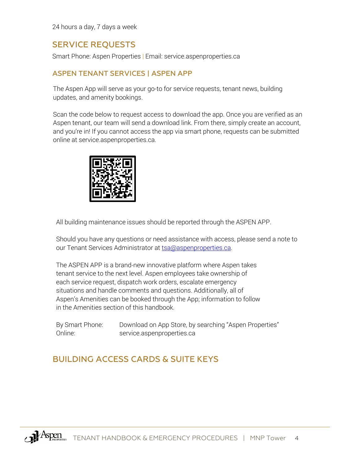24 hours a day, 7 days a week

### SERVICE REQUESTS

<span id="page-4-0"></span>Smart Phone: Aspen Properties | Email: service.aspenproperties.ca

### ASPEN TENANT SERVICES | ASPEN APP

<span id="page-4-1"></span>The Aspen App will serve as your go-to for service requests, tenant news, building updates, and amenity bookings.

Scan the code below to request access to download the app. Once you are verified as an Aspen tenant, our team will send a download link. From there, simply create an account, and you're in! If you cannot access the app via smart phone, requests can be submitted online at service.aspenproperties.ca.



All building maintenance issues should be reported through the ASPEN APP.

Should you have any questions or need assistance with access, please send a note to our Tenant Services Administrator at [tsa@aspenproperties.ca.](mailto:tsa@aspenproperties.ca)

The ASPEN APP is a brand-new innovative platform where Aspen takes tenant service to the next level. Aspen employees take ownership of each service request, dispatch work orders, escalate emergency situations and handle comments and questions. Additionally, all of Aspen's Amenities can be booked through the App; information to follow in the Amenities section of this handbook.

By Smart Phone: Download on App Store, by searching "Aspen Properties" Online: service.aspenproperties.ca

### <span id="page-4-2"></span>BUILDING ACCESS CARDS & SUITE KEYS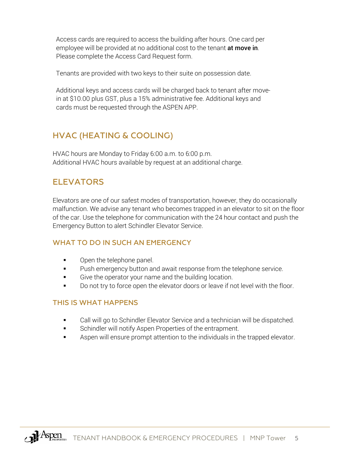Access cards are required to access the building after hours. One card per employee will be provided at no additional cost to the tenant at move in. Please complete the Access Card Request form.

Tenants are provided with two keys to their suite on possession date.

Additional keys and access cards will be charged back to tenant after movein at \$10.00 plus GST, plus a 15% administrative fee. Additional keys and cards must be requested through the ASPEN APP.

### <span id="page-5-0"></span>HVAC (HEATING & COOLING)

HVAC hours are Monday to Friday 6:00 a.m. to 6:00 p.m. Additional HVAC hours available by request at an additional charge.

### <span id="page-5-1"></span>**FI FVATORS**

Elevators are one of our safest modes of transportation, however, they do occasionally malfunction. We advise any tenant who becomes trapped in an elevator to sit on the floor of the car. Use the telephone for communication with the 24 hour contact and push the Emergency Button to alert Schindler Elevator Service.

### WHAT TO DO IN SUCH AN EMERGENCY

- Open the telephone panel.
- Push emergency button and await response from the telephone service.
- Give the operator your name and the building location.
- Do not try to force open the elevator doors or leave if not level with the floor.

### THIS IS WHAT HAPPENS

- Call will go to Schindler Elevator Service and a technician will be dispatched.
- Schindler will notify Aspen Properties of the entrapment.
- <span id="page-5-2"></span>Aspen will ensure prompt attention to the individuals in the trapped elevator.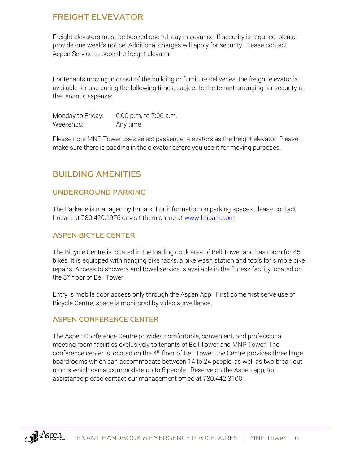### FREIGHT ELVEVATOR

Freight elevators must be booked one full day in advance. If security is required, please provide one week's notice. Additional charges will apply for security. Please contact Aspen Service to book the freight elevator.

For tenants moving in or out of the building or furniture deliveries, the freight elevator is available for use during the following times, subject to the tenant arranging for security at the tenant's expense:

Monday to Friday: 6:00 p.m. to 7:00 a.m. Weekends: Any time

Please note MNP Tower uses select passenger elevators as the freight elevator. Please make sure there is padding in the elevator before you use it for moving purposes.

### <span id="page-6-0"></span>BUILDING AMENITIES

### UNDERGROUND PARKING

The Parkade is managed by Impark. For information on parking spaces please contact Impark at 780.420.1976 or visit them online at [www.Impark.com](https://lots.impark.com/IMP/EN?latlng=53.54441450028263,-113.49584050691527&zoom=15?utm_source=impark_official&utm_medium=website_text&utm_campaign=Internal_Referrals_Edmonton&_ga=1.23965818.1598044665.1472066527#details=2,493)

### ASPEN BICYLE CENTER

The Bicycle Centre is located in the loading dock area of Bell Tower and has room for 45 bikes. It is equipped with hanging bike racks, a bike wash station and tools for simple bike repairs. Access to showers and towel service is available in the fitness facility located on the 3<sup>rd</sup> floor of Bell Tower.

Entry is mobile door access only through the Aspen App. First come first serve use of Bicycle Centre, space is monitored by video surveillance.

### ASPEN CONFERENCE CENTER

The Aspen Conference Centre provides comfortable, convenient, and professional meeting room facilities exclusively to tenants of Bell Tower and MNP Tower. The conference center is located on the 4<sup>th</sup> floor of Bell Tower, the Centre provides three large boardrooms which can accommodate between 14 to 24 people, as well as two break out rooms which can accommodate up to 6 people. Reserve on the Aspen app, for assistance please contact our management office at 780.442.3100.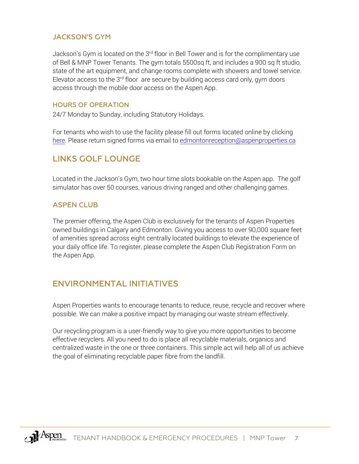### JACKSON'S GYM

Jackson's Gym is located on the 3<sup>rd</sup> floor in Bell Tower and is for the complimentary use of Bell & MNP Tower Tenants. The gym totals 5500sq ft, and includes a 900 sq ft studio, state of the art equipment, and change rooms complete with showers and towel service. Elevator access to the  $3<sup>rd</sup>$  floor are secure by building access card only, gym doors access through the mobile door access on the Aspen App.

#### HOURS OF OPERATION

24/7 Monday to Sunday, including Statutory Holidays.

For tenants who wish to use the facility please fill out forms located online by clicking here. Please return signed forms via email to edmontonreception@aspenproperties.ca

### [LIN](https://d4837ee1-89dc-4f3a-b2ff-edee3742ff4a.filesusr.com/ugd/29eefc_c7181ef420444e7e93c94b346794a1b5.pdf)KS GOLF LOUNGE

Located in the Jackson's Gym, two hour time slots bookable on the Aspen app. The golf simulator has over 50 courses, various driving ranged and other challenging games.

### ASPEN CLUB

The premier offering, the Aspen Club is exclusively for the tenants of Aspen Properties owned buildings in Calgary and Edmonton. Giving you access to over 90,000 square feet of amenities spread across eight centrally located buildings to elevate the experience of your daily office life. To register, please complete the Aspen Club Registration Form on the Aspen App.

### ENVIRONMENTAL INITIATIVES

Aspen Properties wants to encourage tenants to reduce, reuse, recycle and recover where possible. We can make a positive impact by managing our waste stream effectively.

Our recycling program is a user-friendly way to give you more opportunities to become effective recyclers. All you need to do is place all recyclable materials, organics and centralized waste in the one or three containers. This simple act will help all of us achieve the goal of eliminating recyclable paper fibre from the landfill.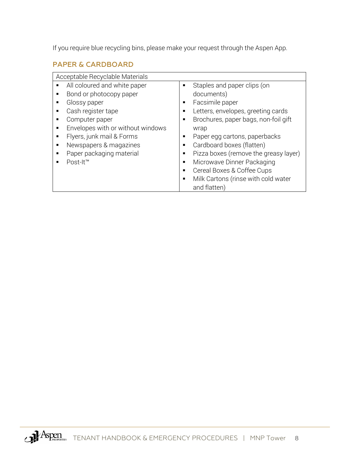If you require blue recycling bins, please make your request through the Aspen App.

### PAPER & CARDBOARD

| Acceptable Recyclable Materials   |                                       |
|-----------------------------------|---------------------------------------|
| All coloured and white paper      | Staples and paper clips (on           |
| Bond or photocopy paper           | documents)                            |
| Glossy paper                      | Facsimile paper                       |
| Cash register tape                | Letters, envelopes, greeting cards    |
| Computer paper                    | Brochures, paper bags, non-foil gift  |
| Envelopes with or without windows | wrap                                  |
| Flyers, junk mail & Forms         | Paper egg cartons, paperbacks         |
| Newspapers & magazines            | Cardboard boxes (flatten)             |
| Paper packaging material          | Pizza boxes (remove the greasy layer) |
| Post-It <sup>™</sup>              | Microwave Dinner Packaging            |
|                                   | Cereal Boxes & Coffee Cups            |
|                                   | Milk Cartons (rinse with cold water   |
|                                   | and flatten)                          |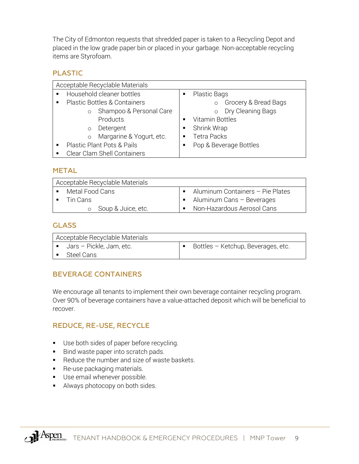The City of Edmonton requests that shredded paper is taken to a Recycling Depot and placed in the low grade paper bin or placed in your garbage. Non-acceptable recycling items are Styrofoam.

### PLASTIC

| Acceptable Recyclable Materials             |                                 |
|---------------------------------------------|---------------------------------|
| Household cleaner bottles<br>$\blacksquare$ | Plastic Bags                    |
| <b>Plastic Bottles &amp; Containers</b>     | Grocery & Bread Bags<br>$\circ$ |
| Shampoo & Personal Care                     | Dry Cleaning Bags<br>$\circ$    |
| Products                                    | Vitamin Bottles                 |
| Detergent<br>$\circ$                        | Shrink Wrap                     |
| Margarine & Yogurt, etc.<br>$\circ$         | Tetra Packs<br>$\blacksquare$   |
| <b>Plastic Plant Pots &amp; Pails</b>       | Pop & Beverage Bottles          |
| Clear Clam Shell Containers                 |                                 |

### METAL

| Acceptable Recyclable Materials |                                          |
|---------------------------------|------------------------------------------|
| • Metal Food Cans               | • Aluminum Containers – Pie Plates       |
| $\blacksquare$ Tin Cans         | $\blacksquare$ Aluminum Cans – Beverages |
| o Soup & Juice, etc.            | Non-Hazardous Aerosol Cans               |

### **GLASS**

| Acceptable Recyclable Materials         |                                    |
|-----------------------------------------|------------------------------------|
| $\blacksquare$ Jars – Pickle, Jam, etc. | Bottles - Ketchup, Beverages, etc. |
| Steel Cans                              |                                    |

### BEVERAGE CONTAINERS

We encourage all tenants to implement their own beverage container recycling program. Over 90% of beverage containers have a value-attached deposit which will be beneficial to recover.

### REDUCE, RE-USE, RECYCLE

- Use both sides of paper before recycling.
- Bind waste paper into scratch pads.
- Reduce the number and size of waste baskets.
- Re-use packaging materials.
- **Use email whenever possible.**
- Always photocopy on both sides.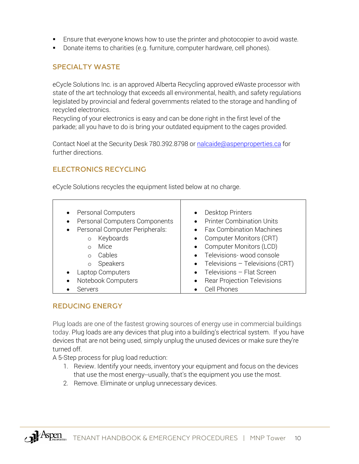- Ensure that everyone knows how to use the printer and photocopier to avoid waste.
- Donate items to charities (e.g. furniture, computer hardware, cell phones).

### SPECIALTY WASTE

eCycle Solutions Inc. is an approved Alberta Recycling approved eWaste processor with state of the art technology that exceeds all environmental, health, and safety regulations legislated by provincial and federal governments related to the storage and handling of recycled electronics.

Recycling of your electronics is easy and can be done right in the first level of the parkade; all you have to do is bring your outdated equipment to the cages provided.

Contact Noel at the Security Desk 780.392.8798 or [nalcaide@aspenproperties.ca](mailto:nalcaide@aspenproperties.ca) for further directions.

### ELECTRONICS RECYCLING

eCycle Solutions recycles the equipment listed below at no charge.

| <b>Personal Computers</b><br>$\bullet$<br>Personal Computers Components<br>$\bullet$<br>Personal Computer Peripherals:<br>$\bullet$<br>Keyboards<br>$\circ$<br>Mice<br>∩<br>Cables<br>$\Omega$<br>Speakers<br>$\circ$<br>Laptop Computers<br>$\bullet$ | Desktop Printers<br><b>Printer Combination Units</b><br><b>Fax Combination Machines</b><br>Computer Monitors (CRT)<br><b>Computer Monitors (LCD)</b><br>Televisions-wood console<br>$\bullet$ Televisions - Televisions (CRT)<br>Televisions - Flat Screen |
|--------------------------------------------------------------------------------------------------------------------------------------------------------------------------------------------------------------------------------------------------------|------------------------------------------------------------------------------------------------------------------------------------------------------------------------------------------------------------------------------------------------------------|
| Notebook Computers<br>$\bullet$                                                                                                                                                                                                                        | <b>Rear Projection Televisions</b>                                                                                                                                                                                                                         |
| Servers                                                                                                                                                                                                                                                | Cell Phones                                                                                                                                                                                                                                                |

### REDUCING ENERGY

Plug loads are one of the fastest growing sources of energy use in commercial buildings today. Plug loads are any devices that plug into a building's electrical system. If you have devices that are not being used, simply unplug the unused devices or make sure they're turned off.

A 5-Step process for plug load reduction:

- 1. Review. Identify your needs, inventory your equipment and focus on the devices that use the most energy--usually, that's the equipment you use the most.
- 2. Remove. Eliminate or unplug unnecessary devices.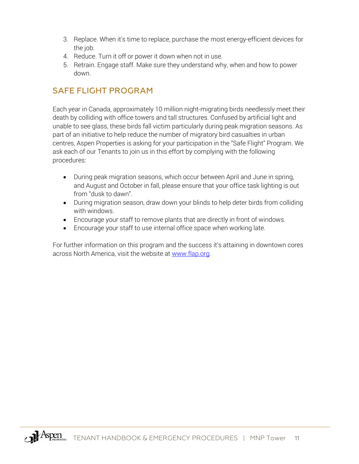- 3. Replace. When it's time to replace, purchase the most energy-efficient devices for the job.
- 4. Reduce. Turn it off or power it down when not in use.
- 5. Retrain. Engage staff. Make sure they understand why, when and how to power down.

### <span id="page-11-0"></span>SAFE FLIGHT PROGRAM

Each year in Canada, approximately 10 million night-migrating birds needlessly meet their death by colliding with office towers and tall structures. Confused by artificial light and unable to see glass, these birds fall victim particularly during peak migration seasons. As part of an initiative to help reduce the number of migratory bird casualties in urban centres, Aspen Properties is asking for your participation in the "Safe Flight" Program. We ask each of our Tenants to join us in this effort by complying with the following procedures:

- During peak migration seasons, which occur between April and June in spring, and August and October in fall, please ensure that your office task lighting is out from "dusk to dawn".
- During migration season, draw down your blinds to help deter birds from colliding with windows.
- Encourage your staff to remove plants that are directly in front of windows.
- Encourage your staff to use internal office space when working late.

For further information on this program and the success it's attaining in downtown cores across North America, visit the website at [www.flap.org.](http://www.flap.org/)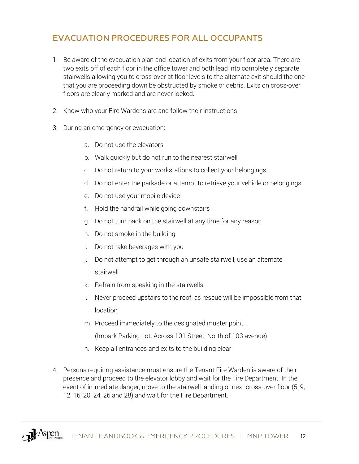### <span id="page-12-0"></span>EVACUATION PROCEDURES FOR ALL OCCUPANTS

- 1. Be aware of the evacuation plan and location of exits from your floor area. There are two exits off of each floor in the office tower and both lead into completely separate stairwells allowing you to cross-over at floor levels to the alternate exit should the one that you are proceeding down be obstructed by smoke or debris. Exits on cross-over floors are clearly marked and are never locked.
- 2. Know who your Fire Wardens are and follow their instructions.
- 3. During an emergency or evacuation:
	- a. Do not use the elevators
	- b. Walk quickly but do not run to the nearest stairwell
	- c. Do not return to your workstations to collect your belongings
	- d. Do not enter the parkade or attempt to retrieve your vehicle or belongings
	- e. Do not use your mobile device
	- f. Hold the handrail while going downstairs
	- g. Do not turn back on the stairwell at any time for any reason
	- h. Do not smoke in the building
	- i. Do not take beverages with you
	- j. Do not attempt to get through an unsafe stairwell, use an alternate stairwell
	- k. Refrain from speaking in the stairwells
	- l. Never proceed upstairs to the roof, as rescue will be impossible from that location
	- m. Proceed immediately to the designated muster point

(Impark Parking Lot. Across 101 Street, North of 103 avenue)

- n. Keep all entrances and exits to the building clear
- 4. Persons requiring assistance must ensure the Tenant Fire Warden is aware of their presence and proceed to the elevator lobby and wait for the Fire Department. In the event of immediate danger, move to the stairwell landing or next cross-over floor (5, 9, 12, 16, 20, 24, 26 and 28) and wait for the Fire Department.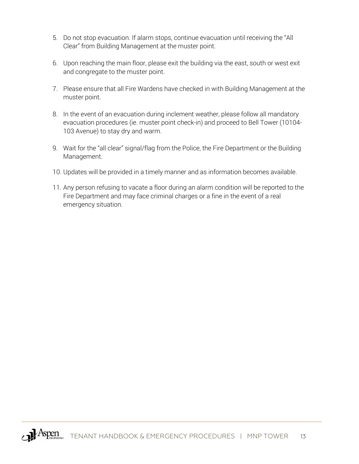- 5. Do not stop evacuation. If alarm stops, continue evacuation until receiving the "All Clear" from Building Management at the muster point.
- 6. Upon reaching the main floor, please exit the building via the east, south or west exit and congregate to the muster point.
- 7. Please ensure that all Fire Wardens have checked in with Building Management at the muster point.
- 8. In the event of an evacuation during inclement weather, please follow all mandatory evacuation procedures (ie. muster point check-in) and proceed to Bell Tower (10104- 103 Avenue) to stay dry and warm.
- 9. Wait for the "all clear" signal/flag from the Police, the Fire Department or the Building Management.
- 10. Updates will be provided in a timely manner and as information becomes available.
- 11. Any person refusing to vacate a floor during an alarm condition will be reported to the Fire Department and may face criminal charges or a fine in the event of a real emergency situation.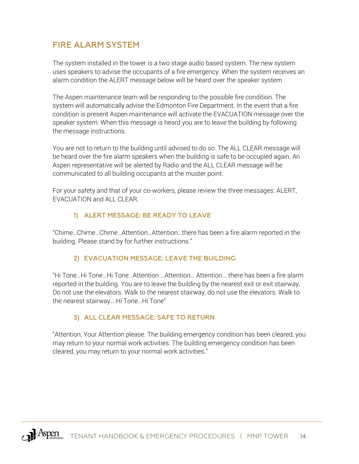### <span id="page-14-0"></span>FIRE ALARM SYSTEM

The system installed in the tower is a two stage audio based system. The new system uses speakers to advise the occupants of a fire emergency. When the system receives an alarm condition the ALERT message below will be heard over the speaker system.

The Aspen maintenance team will be responding to the possible fire condition. The system will automatically advise the Edmonton Fire Department. In the event that a fire condition is present Aspen maintenance will activate the EVACUATION message over the speaker system. When this message is heard you are to leave the building by following the message instructions.

You are not to return to the building until advised to do so. The ALL CLEAR message will be heard over the fire alarm speakers when the building is safe to be occupied again. An Aspen representative will be alerted by Radio and the ALL CLEAR message will be communicated to all building occupants at the muster point.

For your safety and that of your co-workers, please review the three messages: ALERT, EVACUATION and ALL CLEAR.

### 1) ALERT MESSAGE: BE READY TO LEAVE

"Chime…Chime…Chime…Attention…Attention…there has been a fire alarm reported in the building. Please stand by for further instructions."

### 2) EVACUATION MESSAGE: LEAVE THE BUILDING

"Hi Tone…Hi Tone…Hi Tone…Attention …Attention… Attention... there has been a fire alarm reported in the building. You are to leave the building by the nearest exit or exit stairway, Do not use the elevators. Walk to the nearest stairway, do not use the elevators. Walk to the nearest stairway….Hi Tone…Hi Tone"

### 3) ALL CLEAR MESSAGE: SAFE TO RETURN

<span id="page-14-1"></span>"Attention, Your Attention please. The building emergency condition has been cleared, you may return to your normal work activities. The building emergency condition has been cleared, you may return to your normal work activities."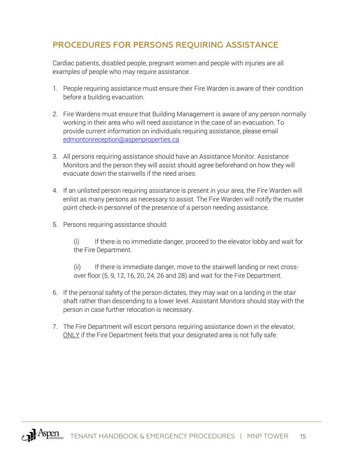### PROCEDURES FOR PERSONS REQUIRING ASSISTANCE

Cardiac patients, disabled people, pregnant women and people with injuries are all examples of people who may require assistance.

- 1. People requiring assistance must ensure their Fire Warden is aware of their condition before a building evacuation.
- 2. Fire Wardens must ensure that Building Management is aware of any person normally working in their area who will need assistance in the case of an evacuation. To provide current information on individuals requiring assistance, please email [edmontonreception@aspenproperties.ca](mailto:edmontonreception@aspenproperties.ca)
- 3. All persons requiring assistance should have an Assistance Monitor. Assistance Monitors and the person they will assist should agree beforehand on how they will evacuate down the stairwells if the need arises.
- 4. If an unlisted person requiring assistance is present in your area, the Fire Warden will enlist as many persons as necessary to assist. The Fire Warden will notify the muster point check-in personnel of the presence of a person needing assistance.
- 5. Persons requiring assistance should:

(i) If there is no immediate danger, proceed to the elevator lobby and wait for the Fire Department.

(ii) If there is immediate danger, move to the stairwell landing or next crossover floor (5, 9, 12, 16, 20, 24, 26 and 28) and wait for the Fire Department.

- 6. If the personal safety of the person dictates, they may wait on a landing in the stair shaft rather than descending to a lower level. Assistant Monitors should stay with the person in case further relocation is necessary.
- 7. The Fire Department will escort persons requiring assistance down in the elevator, ONLY if the Fire Department feels that your designated area is not fully safe.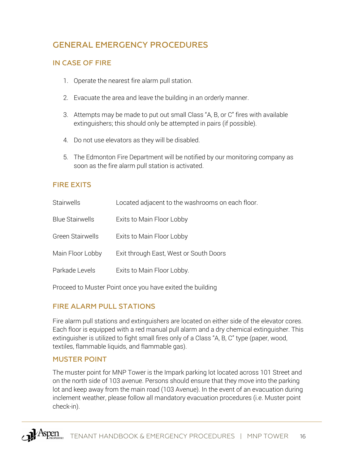### <span id="page-16-0"></span>GENERAL EMERGENCY PROCEDURES

### IN CASE OF FIRE

- 1. Operate the nearest fire alarm pull station.
- 2. Evacuate the area and leave the building in an orderly manner.
- 3. Attempts may be made to put out small Class "A, B, or C" fires with available extinguishers; this should only be attempted in pairs (if possible).
- 4. Do not use elevators as they will be disabled.
- 5. The Edmonton Fire Department will be notified by our monitoring company as soon as the fire alarm pull station is activated.

### <span id="page-16-1"></span>FIRE EXITS

| Stairwells              | Located adjacent to the washrooms on each floor. |
|-------------------------|--------------------------------------------------|
| <b>Blue Stairwells</b>  | Exits to Main Floor Lobby                        |
| <b>Green Stairwells</b> | Exits to Main Floor Lobby                        |
| Main Floor Lobby        | Exit through East, West or South Doors           |
| Parkade Levels          | Exits to Main Floor Lobby.                       |
|                         |                                                  |

Proceed to Muster Point once you have exited the building

### <span id="page-16-2"></span>FIRE ALARM PULL STATIONS

Fire alarm pull stations and extinguishers are located on either side of the elevator cores. Each floor is equipped with a red manual pull alarm and a dry chemical extinguisher. This extinguisher is utilized to fight small fires only of a Class "A, B, C" type (paper, wood, textiles, flammable liquids, and flammable gas).

### <span id="page-16-3"></span>MUSTER POINT

The muster point for MNP Tower is the Impark parking lot located across 101 Street and on the north side of 103 avenue. Persons should ensure that they move into the parking lot and keep away from the main road (103 Avenue). In the event of an evacuation during inclement weather, please follow all mandatory evacuation procedures (i.e. Muster point check-in).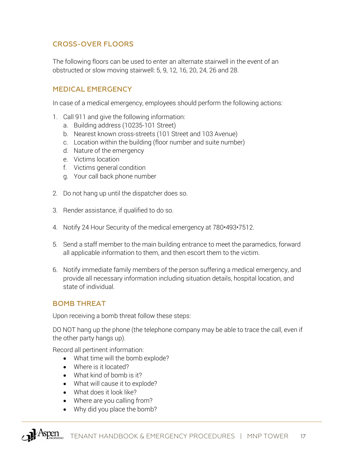### CROSS-OVER FLOORS

The following floors can be used to enter an alternate stairwell in the event of an obstructed or slow moving stairwell: 5, 9, 12, 16, 20, 24, 26 and 28.

### <span id="page-17-0"></span>MEDICAL EMERGENCY

In case of a medical emergency, employees should perform the following actions:

- 1. Call 911 and give the following information:
	- a. Building address (10235-101 Street)
	- b. Nearest known cross-streets (101 Street and 103 Avenue)
	- c. Location within the building (floor number and suite number)
	- d. Nature of the emergency
	- e. Victims location
	- f. Victims general condition
	- g. Your call back phone number
- 2. Do not hang up until the dispatcher does so.
- 3. Render assistance, if qualified to do so.
- 4. Notify 24 Hour Security of the medical emergency at 780•493•7512.
- 5. Send a staff member to the main building entrance to meet the paramedics, forward all applicable information to them, and then escort them to the victim.
- 6. Notify immediate family members of the person suffering a medical emergency, and provide all necessary information including situation details, hospital location, and state of individual.

#### <span id="page-17-1"></span>BOMB THREAT

Upon receiving a bomb threat follow these steps:

DO NOT hang up the phone (the telephone company may be able to trace the call, even if the other party hangs up).

Record all pertinent information:

- What time will the bomb explode?
- Where is it located?
- What kind of bomb is it?
- What will cause it to explode?
- What does it look like?
- Where are you calling from?
- Why did you place the bomb?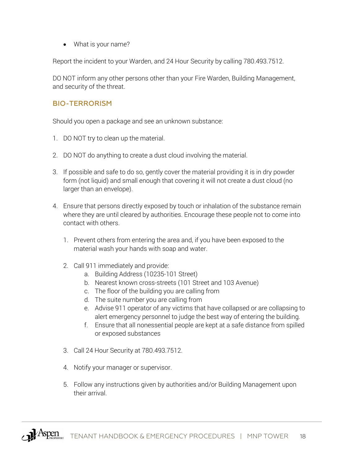• What is your name?

Report the incident to your Warden, and 24 Hour Security by calling 780.493.7512.

DO NOT inform any other persons other than your Fire Warden, Building Management, and security of the threat.

### <span id="page-18-0"></span>BIO-TERRORISM

Should you open a package and see an unknown substance:

- 1. DO NOT try to clean up the material.
- 2. DO NOT do anything to create a dust cloud involving the material.
- 3. If possible and safe to do so, gently cover the material providing it is in dry powder form (not liquid) and small enough that covering it will not create a dust cloud (no larger than an envelope).
- 4. Ensure that persons directly exposed by touch or inhalation of the substance remain where they are until cleared by authorities. Encourage these people not to come into contact with others.
	- 1. Prevent others from entering the area and, if you have been exposed to the material wash your hands with soap and water.
	- 2. Call 911 immediately and provide:
		- a. Building Address (10235-101 Street)
		- b. Nearest known cross-streets (101 Street and 103 Avenue)
		- c. The floor of the building you are calling from
		- d. The suite number you are calling from
		- e. Advise 911 operator of any victims that have collapsed or are collapsing to alert emergency personnel to judge the best way of entering the building.
		- f. Ensure that all nonessential people are kept at a safe distance from spilled or exposed substances
	- 3. Call 24 Hour Security at 780.493.7512.
	- 4. Notify your manager or supervisor.
	- 5. Follow any instructions given by authorities and/or Building Management upon their arrival.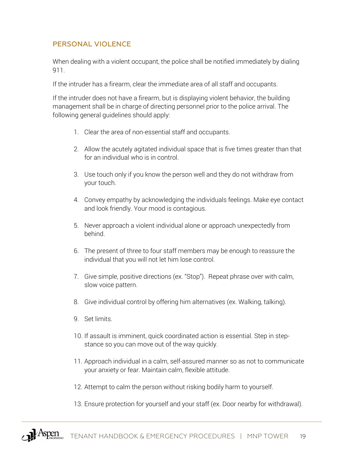### PERSONAL VIOLENCE

When dealing with a violent occupant, the police shall be notified immediately by dialing 911.

If the intruder has a firearm, clear the immediate area of all staff and occupants.

If the intruder does not have a firearm, but is displaying violent behavior, the building management shall be in charge of directing personnel prior to the police arrival. The following general guidelines should apply:

- 1. Clear the area of non-essential staff and occupants.
- 2. Allow the acutely agitated individual space that is five times greater than that for an individual who is in control.
- 3. Use touch only if you know the person well and they do not withdraw from your touch.
- 4. Convey empathy by acknowledging the individuals feelings. Make eye contact and look friendly. Your mood is contagious.
- 5. Never approach a violent individual alone or approach unexpectedly from behind.
- 6. The present of three to four staff members may be enough to reassure the individual that you will not let him lose control.
- 7. Give simple, positive directions (ex. "Stop"). Repeat phrase over with calm, slow voice pattern.
- 8. Give individual control by offering him alternatives (ex. Walking, talking).
- 9. Set limits.
- 10. If assault is imminent, quick coordinated action is essential. Step in stepstance so you can move out of the way quickly.
- 11. Approach individual in a calm, self-assured manner so as not to communicate your anxiety or fear. Maintain calm, flexible attitude.
- 12. Attempt to calm the person without risking bodily harm to yourself.
- 13. Ensure protection for yourself and your staff (ex. Door nearby for withdrawal).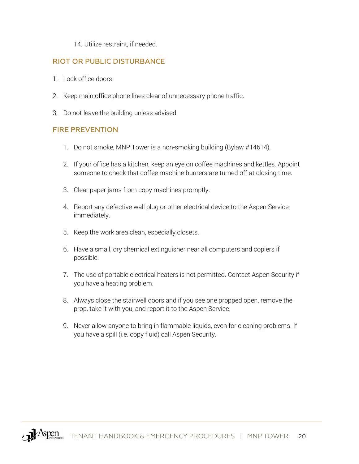#### 14. Utilize restraint, if needed.

### RIOT OR PUBLIC DISTURBANCE

- 1. Lock office doors.
- 2. Keep main office phone lines clear of unnecessary phone traffic.
- 3. Do not leave the building unless advised.

#### <span id="page-20-0"></span>FIRE PREVENTION

- 1. Do not smoke, MNP Tower is a non-smoking building (Bylaw #14614).
- 2. If your office has a kitchen, keep an eye on coffee machines and kettles. Appoint someone to check that coffee machine burners are turned off at closing time.
- 3. Clear paper jams from copy machines promptly.
- 4. Report any defective wall plug or other electrical device to the Aspen Service immediately.
- 5. Keep the work area clean, especially closets.
- 6. Have a small, dry chemical extinguisher near all computers and copiers if possible.
- 7. The use of portable electrical heaters is not permitted. Contact Aspen Security if you have a heating problem.
- 8. Always close the stairwell doors and if you see one propped open, remove the prop, take it with you, and report it to the Aspen Service.
- 9. Never allow anyone to bring in flammable liquids, even for cleaning problems. If you have a spill (i.e. copy fluid) call Aspen Security.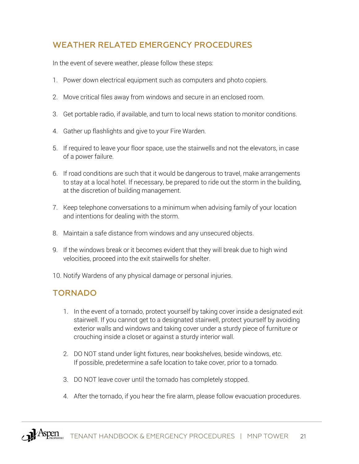### <span id="page-21-0"></span>WEATHER RELATED EMERGENCY PROCEDURES

In the event of severe weather, please follow these steps:

- 1. Power down electrical equipment such as computers and photo copiers.
- 2. Move critical files away from windows and secure in an enclosed room.
- 3. Get portable radio, if available, and turn to local news station to monitor conditions.
- 4. Gather up flashlights and give to your Fire Warden.
- 5. If required to leave your floor space, use the stairwells and not the elevators, in case of a power failure.
- 6. If road conditions are such that it would be dangerous to travel, make arrangements to stay at a local hotel. If necessary, be prepared to ride out the storm in the building, at the discretion of building management.
- 7. Keep telephone conversations to a minimum when advising family of your location and intentions for dealing with the storm.
- 8. Maintain a safe distance from windows and any unsecured objects.
- 9. If the windows break or it becomes evident that they will break due to high wind velocities, proceed into the exit stairwells for shelter.
- 10. Notify Wardens of any physical damage or personal injuries.

### TORNADO

- 1. In the event of a tornado, protect yourself by taking cover inside a designated exit stairwell. If you cannot get to a designated stairwell, protect yourself by avoiding exterior walls and windows and taking cover under a sturdy piece of furniture or crouching inside a closet or against a sturdy interior wall.
- 2. DO NOT stand under light fixtures, near bookshelves, beside windows, etc. If possible, predetermine a safe location to take cover, prior to a tornado.
- 3. DO NOT leave cover until the tornado has completely stopped.
- 4. After the tornado, if you hear the fire alarm, please follow evacuation procedures.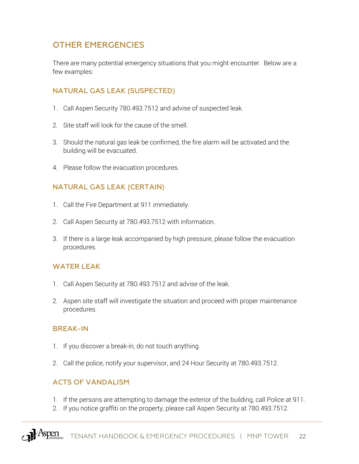### <span id="page-22-0"></span>OTHER EMERGENCIES

There are many potential emergency situations that you might encounter. Below are a few examples:

### NATURAL GAS LEAK (SUSPECTED)

- 1. Call Aspen Security 780.493.7512 and advise of suspected leak.
- 2. Site staff will look for the cause of the smell.
- 3. Should the natural gas leak be confirmed, the fire alarm will be activated and the building will be evacuated.
- 4. Please follow the evacuation procedures.

### NATURAL GAS LEAK (CERTAIN)

- 1. Call the Fire Department at 911 immediately.
- 2. Call Aspen Security at 780.493.7512 with information.
- 3. If there is a large leak accompanied by high pressure, please follow the evacuation procedures.

### WATER LEAK

- 1. Call Aspen Security at 780.493.7512 and advise of the leak.
- 2. Aspen site staff will investigate the situation and proceed with proper maintenance procedures.

### BREAK-IN

- 1. If you discover a break-in, do not touch anything.
- 2. Call the police, notify your supervisor, and 24 Hour Security at 780.493.7512.

### ACTS OF VANDALISM

- 1. If the persons are attempting to damage the exterior of the building, call Police at 911.
- 2. If you notice graffiti on the property, please call Aspen Security at 780.493.7512.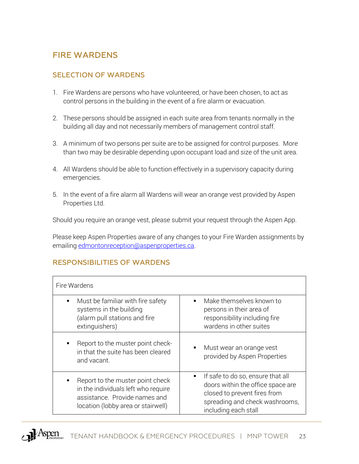### <span id="page-23-0"></span>FIRE WARDENS

### SELECTION OF WARDENS

- 1. Fire Wardens are persons who have volunteered, or have been chosen, to act as control persons in the building in the event of a fire alarm or evacuation.
- 2. These persons should be assigned in each suite area from tenants normally in the building all day and not necessarily members of management control staff.
- 3. A minimum of two persons per suite are to be assigned for control purposes. More than two may be desirable depending upon occupant load and size of the unit area.
- 4. All Wardens should be able to function effectively in a supervisory capacity during emergencies.
- 5. In the event of a fire alarm all Wardens will wear an orange vest provided by Aspen Properties Ltd.

Should you require an orange vest, please submit your request through the Aspen App.

Please keep Aspen Properties aware of any changes to your Fire Warden assignments by emailin[g edmontonreception@aspenproperties.ca.](mailto:edmontonreception@aspenproperties.ca)

### RESPONSIBILITIES OF WARDENS

| Fire Wardens                                                                                                                                                     |                                                                                                                                                                                    |  |
|------------------------------------------------------------------------------------------------------------------------------------------------------------------|------------------------------------------------------------------------------------------------------------------------------------------------------------------------------------|--|
| Must be familiar with fire safety<br>٠<br>systems in the building<br>(alarm pull stations and fire<br>extinguishers)                                             | Make themselves known to<br>persons in their area of<br>responsibility including fire<br>wardens in other suites                                                                   |  |
| Report to the muster point check-<br>$\blacksquare$<br>in that the suite has been cleared<br>and vacant.                                                         | Must wear an orange vest<br>$\blacksquare$<br>provided by Aspen Properties                                                                                                         |  |
| Report to the muster point check<br>$\blacksquare$<br>in the individuals left who require<br>assistance. Provide names and<br>location (lobby area or stairwell) | If safe to do so, ensure that all<br>$\blacksquare$<br>doors within the office space are<br>closed to prevent fires from<br>spreading and check washrooms,<br>including each stall |  |